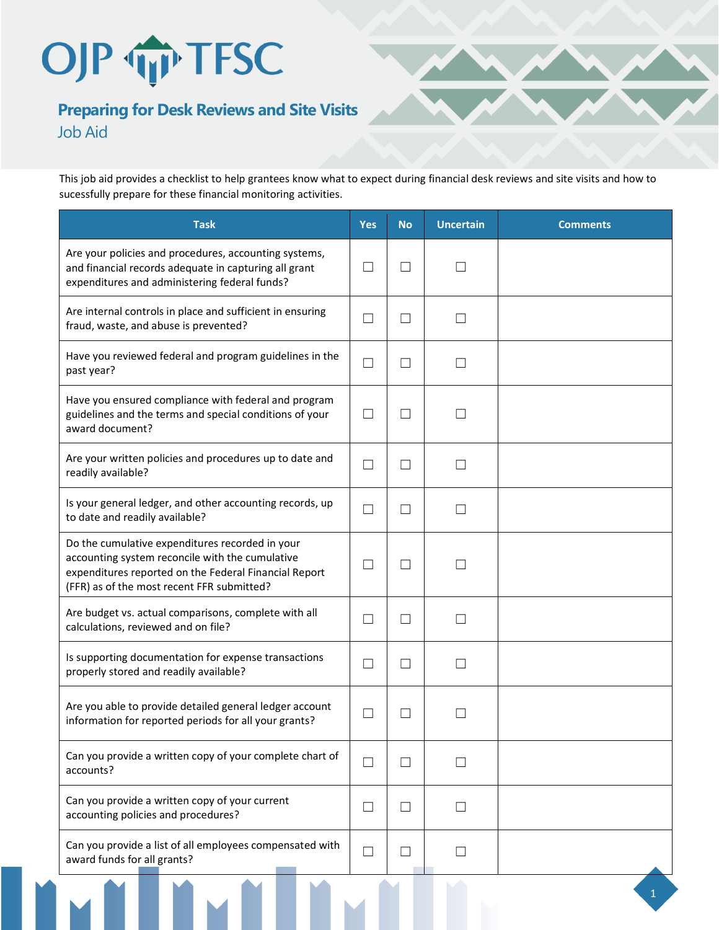## OJP TP TFSC

## **Preparing for Desk Reviews and Site Visits** Job Aid

This job aid provides a checklist to help grantees know what to expect during financial desk reviews and site visits and how to sucessfully prepare for these financial monitoring activities.

| <b>Task</b>                                                                                                                                                                                               | <b>Yes</b>                  | <b>No</b>                | <b>Uncertain</b> | <b>Comments</b> |
|-----------------------------------------------------------------------------------------------------------------------------------------------------------------------------------------------------------|-----------------------------|--------------------------|------------------|-----------------|
| Are your policies and procedures, accounting systems,<br>and financial records adequate in capturing all grant<br>expenditures and administering federal funds?                                           | $\vert \ \ \vert$           | $\mathcal{A}$            | $\mathcal{L}$    |                 |
| Are internal controls in place and sufficient in ensuring<br>fraud, waste, and abuse is prevented?                                                                                                        | $\Box$                      | $\mathcal{L}$            | $\mathcal{A}$    |                 |
| Have you reviewed federal and program guidelines in the<br>past year?                                                                                                                                     | $\Box$                      |                          |                  |                 |
| Have you ensured compliance with federal and program<br>guidelines and the terms and special conditions of your<br>award document?                                                                        | $\Box$                      | $\mathcal{L}$            |                  |                 |
| Are your written policies and procedures up to date and<br>readily available?                                                                                                                             | П                           |                          |                  |                 |
| Is your general ledger, and other accounting records, up<br>to date and readily available?                                                                                                                | $\Box$                      | - 1                      |                  |                 |
| Do the cumulative expenditures recorded in your<br>accounting system reconcile with the cumulative<br>expenditures reported on the Federal Financial Report<br>(FFR) as of the most recent FFR submitted? | $\mathcal{L}_{\mathcal{A}}$ | $\blacksquare$           |                  |                 |
| Are budget vs. actual comparisons, complete with all<br>calculations, reviewed and on file?                                                                                                               | $\blacksquare$              |                          |                  |                 |
| Is supporting documentation for expense transactions<br>properly stored and readily available?                                                                                                            | $\mathcal{L}_{\mathcal{A}}$ | $\overline{\phantom{a}}$ | $\mathcal{L}$    |                 |
| Are you able to provide detailed general ledger account<br>information for reported periods for all your grants?                                                                                          | $\Box$                      | - 1                      |                  |                 |
| Can you provide a written copy of your complete chart of<br>accounts?                                                                                                                                     | $\Box$                      | $\blacksquare$           |                  |                 |
| Can you provide a written copy of your current<br>accounting policies and procedures?                                                                                                                     | $\Box$                      |                          |                  |                 |
| Can you provide a list of all employees compensated with<br>award funds for all grants?                                                                                                                   | $\Box$                      | - 1                      | H                |                 |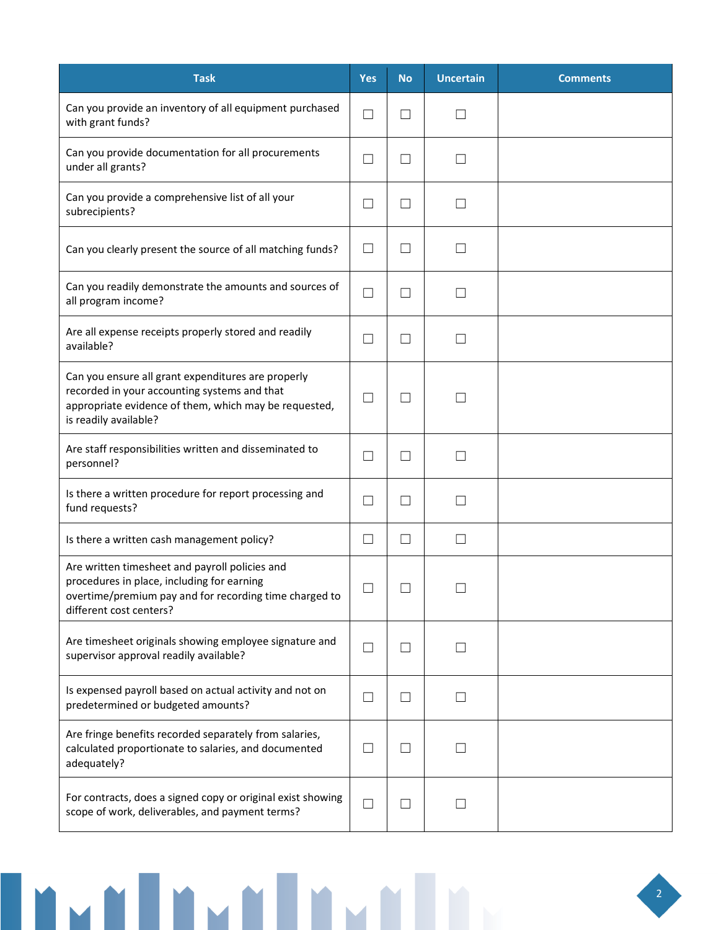| <b>Task</b>                                                                                                                                                                          | <b>Yes</b>        | <b>No</b>                | <b>Uncertain</b>  | <b>Comments</b> |
|--------------------------------------------------------------------------------------------------------------------------------------------------------------------------------------|-------------------|--------------------------|-------------------|-----------------|
| Can you provide an inventory of all equipment purchased<br>with grant funds?                                                                                                         | $\Box$            | $\overline{\phantom{a}}$ |                   |                 |
| Can you provide documentation for all procurements<br>under all grants?                                                                                                              | П                 | $\mathcal{L}$            | $\perp$           |                 |
| Can you provide a comprehensive list of all your<br>subrecipients?                                                                                                                   | $\vert \ \ \vert$ |                          |                   |                 |
| Can you clearly present the source of all matching funds?                                                                                                                            | $\Box$            | $\overline{\phantom{a}}$ | $\mathsf{L}$      |                 |
| Can you readily demonstrate the amounts and sources of<br>all program income?                                                                                                        | $\Box$            | $\overline{\phantom{a}}$ | П                 |                 |
| Are all expense receipts properly stored and readily<br>available?                                                                                                                   | П                 | $\vert \ \ \vert$        | П                 |                 |
| Can you ensure all grant expenditures are properly<br>recorded in your accounting systems and that<br>appropriate evidence of them, which may be requested,<br>is readily available? | Ш                 | $\overline{\phantom{a}}$ |                   |                 |
| Are staff responsibilities written and disseminated to<br>personnel?                                                                                                                 |                   |                          |                   |                 |
| Is there a written procedure for report processing and<br>fund requests?                                                                                                             | $\Box$            | $\overline{\phantom{a}}$ | $\perp$           |                 |
| Is there a written cash management policy?                                                                                                                                           | $\Box$            | $\Box$                   | $\Box$            |                 |
| Are written timesheet and payroll policies and<br>procedures in place, including for earning<br>overtime/premium pay and for recording time charged to<br>different cost centers?    | $\Box$            |                          |                   |                 |
| Are timesheet originals showing employee signature and<br>supervisor approval readily available?                                                                                     | $\vert \ \ \vert$ | $\blacksquare$           |                   |                 |
| Is expensed payroll based on actual activity and not on<br>predetermined or budgeted amounts?                                                                                        | $\Box$            | $\Box$                   | $\Box$            |                 |
| Are fringe benefits recorded separately from salaries,<br>calculated proportionate to salaries, and documented<br>adequately?                                                        | $\vert \ \ \vert$ | $\Box$                   | $\perp$           |                 |
| For contracts, does a signed copy or original exist showing<br>scope of work, deliverables, and payment terms?                                                                       | П                 | $\Box$                   | $\vert \ \ \vert$ |                 |

Invelove Invelove